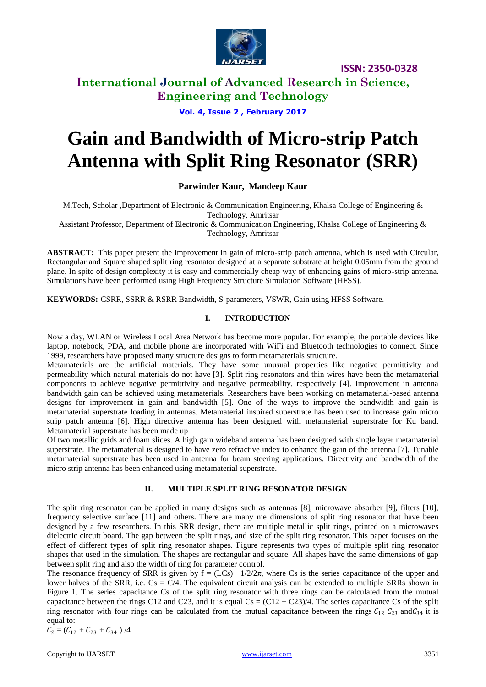

**ISSN: 2350-0328**

### **International Journal of Advanced Research in Science, Engineering and Technology**

**Vol. 4, Issue 2 , February 2017**

# **Gain and Bandwidth of Micro-strip Patch Antenna with Split Ring Resonator (SRR)**

#### **Parwinder Kaur, Mandeep Kaur**

M.Tech, Scholar ,Department of Electronic & Communication Engineering, Khalsa College of Engineering & Technology, Amritsar

Assistant Professor, Department of Electronic & Communication Engineering, Khalsa College of Engineering & Technology, Amritsar

**ABSTRACT:** This paper present the improvement in gain of micro-strip patch antenna, which is used with Circular, Rectangular and Square shaped split ring resonator designed at a separate substrate at height 0.05mm from the ground plane. In spite of design complexity it is easy and commercially cheap way of enhancing gains of micro-strip antenna. Simulations have been performed using High Frequency Structure Simulation Software (HFSS).

**KEYWORDS:** CSRR, SSRR & RSRR Bandwidth, S-parameters, VSWR, Gain using HFSS Software.

#### **I. INTRODUCTION**

Now a day, WLAN or Wireless Local Area Network has become more popular. For example, the portable devices like laptop, notebook, PDA, and mobile phone are incorporated with WiFi and Bluetooth technologies to connect. Since 1999, researchers have proposed many structure designs to form metamaterials structure.

Metamaterials are the artificial materials. They have some unusual properties like negative permittivity and permeability which natural materials do not have [3]. Split ring resonators and thin wires have been the metamaterial components to achieve negative permittivity and negative permeability, respectively [4]. Improvement in antenna bandwidth gain can be achieved using metamaterials. Researchers have been working on metamaterial-based antenna designs for improvement in gain and bandwidth [5]. One of the ways to improve the bandwidth and gain is metamaterial superstrate loading in antennas. Metamaterial inspired superstrate has been used to increase gain micro strip patch antenna [6]. High directive antenna has been designed with metamaterial superstrate for Ku band. Metamaterial superstrate has been made up

Of two metallic grids and foam slices. A high gain wideband antenna has been designed with single layer metamaterial superstrate. The metamaterial is designed to have zero refractive index to enhance the gain of the antenna [7]. Tunable metamaterial superstrate has been used in antenna for beam steering applications. Directivity and bandwidth of the micro strip antenna has been enhanced using metamaterial superstrate.

#### **II. MULTIPLE SPLIT RING RESONATOR DESIGN**

The split ring resonator can be applied in many designs such as antennas [8], microwave absorber [9], filters [10], frequency selective surface [11] and others. There are many me dimensions of split ring resonator that have been designed by a few researchers. In this SRR design, there are multiple metallic split rings, printed on a microwaves dielectric circuit board. The gap between the split rings, and size of the split ring resonator. This paper focuses on the effect of different types of split ring resonator shapes. Figure represents two types of multiple split ring resonator shapes that used in the simulation. The shapes are rectangular and square. All shapes have the same dimensions of gap between split ring and also the width of ring for parameter control.

The resonance frequency of SRR is given by  $f = (LCs) -1/2/2\pi$ , where Cs is the series capacitance of the upper and lower halves of the SRR, i.e.  $Cs = C/4$ . The equivalent circuit analysis can be extended to multiple SRRs shown in Figure 1. The series capacitance Cs of the split ring resonator with three rings can be calculated from the mutual capacitance between the rings C12 and C23, and it is equal  $Cs = (C12 + C23)/4$ . The series capacitance Cs of the split ring resonator with four rings can be calculated from the mutual capacitance between the rings  $C_{12} C_{23}$  and $C_{34}$  it is equal to:

$$
C_{S}=(C_{12}+C_{23}+C_{34})/4
$$

Copyright to IJARSET 3351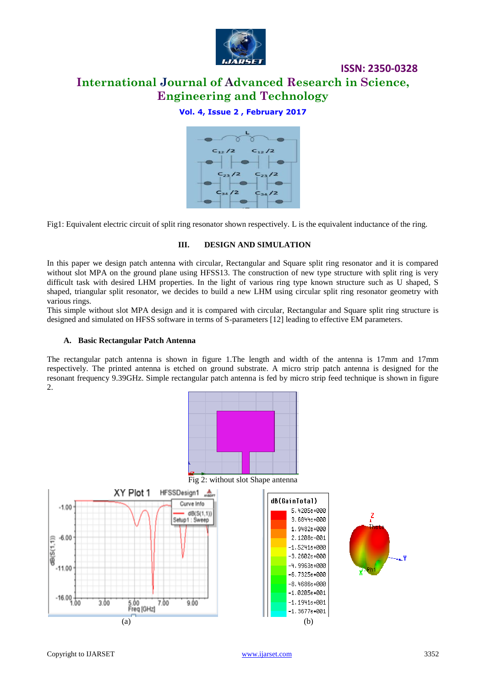

### **ISSN: 2350-0328**

# **International Journal of Advanced Research in Science, Engineering and Technology**

#### **Vol. 4, Issue 2 , February 2017**



Fig1: Equivalent electric circuit of split ring resonator shown respectively. L is the equivalent inductance of the ring.

#### **III. DESIGN AND SIMULATION**

In this paper we design patch antenna with circular, Rectangular and Square split ring resonator and it is compared without slot MPA on the ground plane using HFSS13. The construction of new type structure with split ring is very difficult task with desired LHM properties. In the light of various ring type known structure such as U shaped, S shaped, triangular split resonator, we decides to build a new LHM using circular split ring resonator geometry with various rings.

This simple without slot MPA design and it is compared with circular, Rectangular and Square split ring structure is designed and simulated on HFSS software in terms of S-parameters [12] leading to effective EM parameters.

#### **A. Basic Rectangular Patch Antenna**

The rectangular patch antenna is shown in figure 1.The length and width of the antenna is 17mm and 17mm respectively. The printed antenna is etched on ground substrate. A micro strip patch antenna is designed for the resonant frequency 9.39GHz. Simple rectangular patch antenna is fed by micro strip feed technique is shown in figure 2.









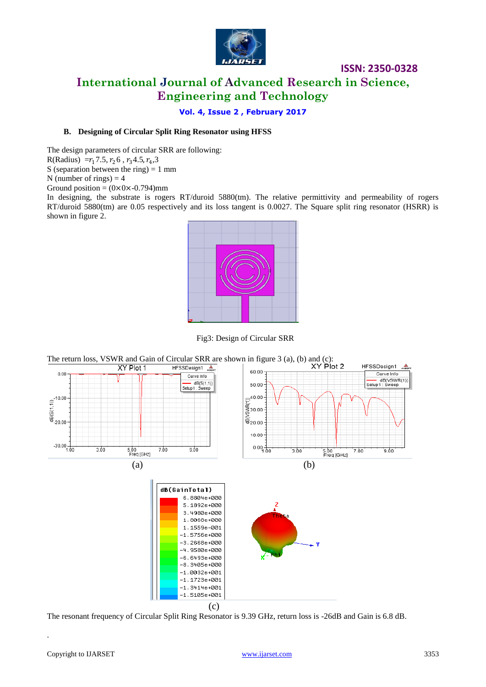

### **ISSN: 2350-0328 International Journal of Advanced Research in Science, Engineering and Technology**

**Vol. 4, Issue 2 , February 2017**

#### **B. Designing of Circular Split Ring Resonator using HFSS**

The design parameters of circular SRR are following:

R(Radius) =  $r_1$ 7.5,  $r_2$ 6,  $r_3$ 4.5,  $r_4$ ,3

S (separation between the ring)  $= 1$  mm

N (number of rings)  $=$  4

Ground position =  $(0 \times 0 \times -0.794)$ mm

In designing, the substrate is rogers RT/duroid 5880(tm). The relative permittivity and permeability of rogers RT/duroid 5880(tm) are 0.05 respectively and its loss tangent is 0.0027. The Square split ring resonator (HSRR) is shown in figure 2.



Fig3: Design of Circular SRR



The resonant frequency of Circular Split Ring Resonator is 9.39 GHz, return loss is -26dB and Gain is 6.8 dB.

.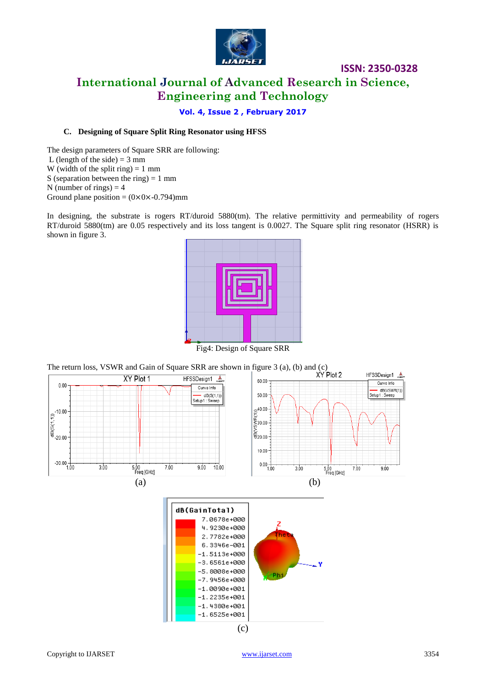

# **ISSN: 2350-0328 International Journal of Advanced Research in Science, Engineering and Technology**

**Vol. 4, Issue 2 , February 2017**

#### **C. Designing of Square Split Ring Resonator using HFSS**

The design parameters of Square SRR are following: L (length of the side)  $=$  3 mm W (width of the split ring)  $= 1$  mm S (separation between the ring)  $= 1$  mm N (number of rings)  $=$  4 Ground plane position =  $(0 \times 0 \times 0.794)$  mm

In designing, the substrate is rogers RT/duroid 5880(tm). The relative permittivity and permeability of rogers RT/duroid 5880(tm) are 0.05 respectively and its loss tangent is 0.0027. The Square split ring resonator (HSRR) is shown in figure 3.



Fig4: Design of Square SRR

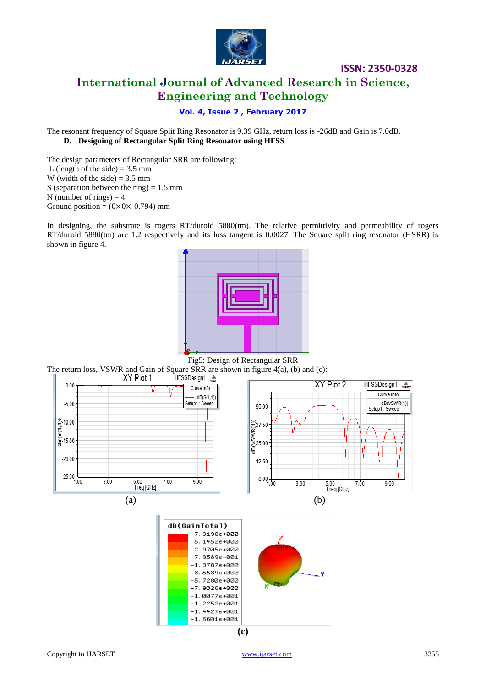

# **ISSN: 2350-0328 International Journal of Advanced Research in Science, Engineering and Technology**

#### **Vol. 4, Issue 2 , February 2017**

The resonant frequency of Square Split Ring Resonator is 9.39 GHz, return loss is -26dB and Gain is 7.0dB. **D. Designing of Rectangular Split Ring Resonator using HFSS**

The design parameters of Rectangular SRR are following: L (length of the side)  $= 3.5$  mm W (width of the side)  $= 3.5$  mm S (separation between the ring)  $= 1.5$  mm N (number of rings)  $=$  4 Ground position =  $(0 \times 0 \times -0.794)$  mm

In designing, the substrate is rogers RT/duroid 5880(tm). The relative permittivity and permeability of rogers RT/duroid 5880(tm) are 1.2 respectively and its loss tangent is 0.0027. The Square split ring resonator (HSRR) is shown in figure 4.



The return loss, VSWR and Gain of Square SRR are shown in figure 4(a), (b) and (c):